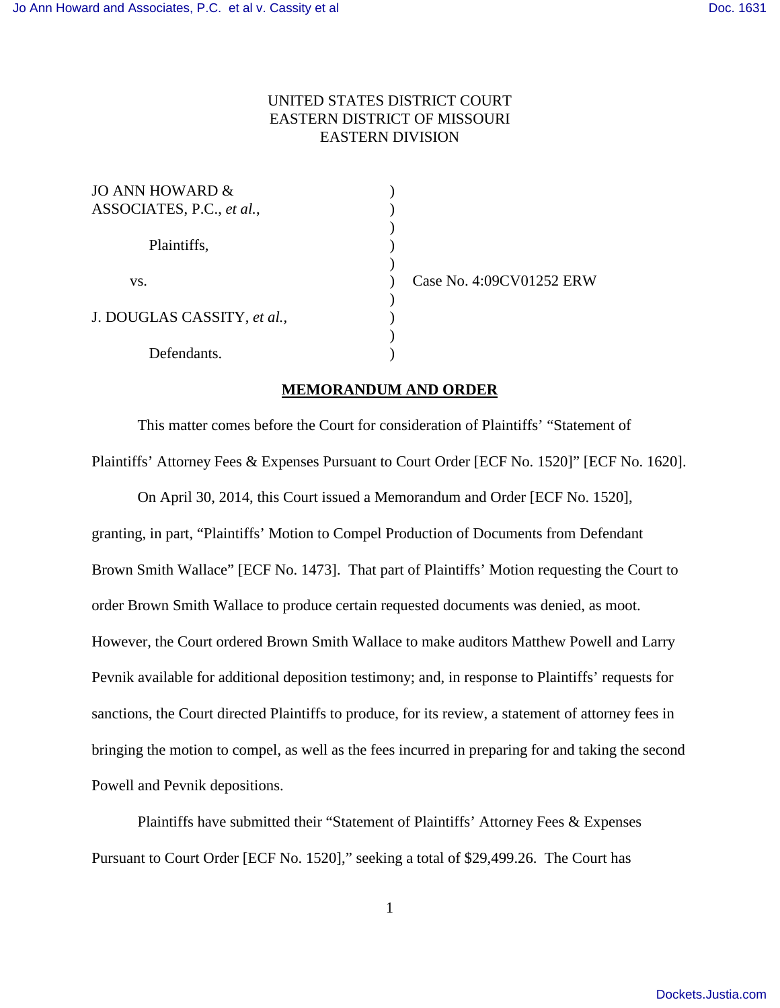## UNITED STATES DISTRICT COURT EASTERN DISTRICT OF MISSOURI EASTERN DIVISION

| JO ANN HOWARD &<br>ASSOCIATES, P.C., et al., |  |
|----------------------------------------------|--|
| Plaintiffs,                                  |  |
| VS.                                          |  |
| J. DOUGLAS CASSITY, et al.,                  |  |
| Defendants.                                  |  |

Case No. 4:09CV01252 ERW

## **MEMORANDUM AND ORDER**

This matter comes before the Court for consideration of Plaintiffs' "Statement of Plaintiffs' Attorney Fees & Expenses Pursuant to Court Order [ECF No. 1520]" [ECF No. 1620].

On April 30, 2014, this Court issued a Memorandum and Order [ECF No. 1520], granting, in part, "Plaintiffs' Motion to Compel Production of Documents from Defendant Brown Smith Wallace" [ECF No. 1473]. That part of Plaintiffs' Motion requesting the Court to order Brown Smith Wallace to produce certain requested documents was denied, as moot. However, the Court ordered Brown Smith Wallace to make auditors Matthew Powell and Larry Pevnik available for additional deposition testimony; and, in response to Plaintiffs' requests for sanctions, the Court directed Plaintiffs to produce, for its review, a statement of attorney fees in bringing the motion to compel, as well as the fees incurred in preparing for and taking the second Powell and Pevnik depositions.

Plaintiffs have submitted their "Statement of Plaintiffs' Attorney Fees & Expenses Pursuant to Court Order [ECF No. 1520]," seeking a total of \$29,499.26. The Court has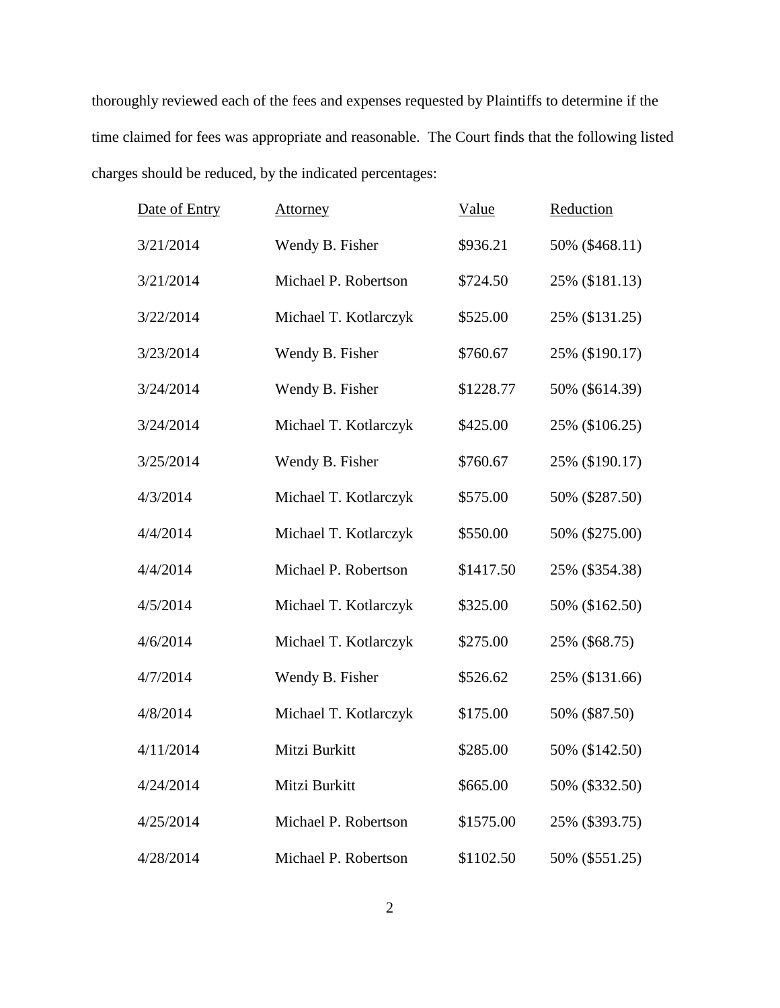thoroughly reviewed each of the fees and expenses requested by Plaintiffs to determine if the time claimed for fees was appropriate and reasonable. The Court finds that the following listed charges should be reduced, by the indicated percentages:

| Date of Entry | Attorney              | Value     | Reduction      |
|---------------|-----------------------|-----------|----------------|
| 3/21/2014     | Wendy B. Fisher       | \$936.21  | 50% (\$468.11) |
| 3/21/2014     | Michael P. Robertson  | \$724.50  | 25% (\$181.13) |
| 3/22/2014     | Michael T. Kotlarczyk | \$525.00  | 25% (\$131.25) |
| 3/23/2014     | Wendy B. Fisher       | \$760.67  | 25% (\$190.17) |
| 3/24/2014     | Wendy B. Fisher       | \$1228.77 | 50% (\$614.39) |
| 3/24/2014     | Michael T. Kotlarczyk | \$425.00  | 25% (\$106.25) |
| 3/25/2014     | Wendy B. Fisher       | \$760.67  | 25% (\$190.17) |
| 4/3/2014      | Michael T. Kotlarczyk | \$575.00  | 50% (\$287.50) |
| 4/4/2014      | Michael T. Kotlarczyk | \$550.00  | 50% (\$275.00) |
| 4/4/2014      | Michael P. Robertson  | \$1417.50 | 25% (\$354.38) |
| 4/5/2014      | Michael T. Kotlarczyk | \$325.00  | 50% (\$162.50) |
| 4/6/2014      | Michael T. Kotlarczyk | \$275.00  | 25% (\$68.75)  |
| 4/7/2014      | Wendy B. Fisher       | \$526.62  | 25% (\$131.66) |
| 4/8/2014      | Michael T. Kotlarczyk | \$175.00  | 50% (\$87.50)  |
| 4/11/2014     | Mitzi Burkitt         | \$285.00  | 50% (\$142.50) |
| 4/24/2014     | Mitzi Burkitt         | \$665.00  | 50% (\$332.50) |
| 4/25/2014     | Michael P. Robertson  | \$1575.00 | 25% (\$393.75) |
| 4/28/2014     | Michael P. Robertson  | \$1102.50 | 50% (\$551.25) |